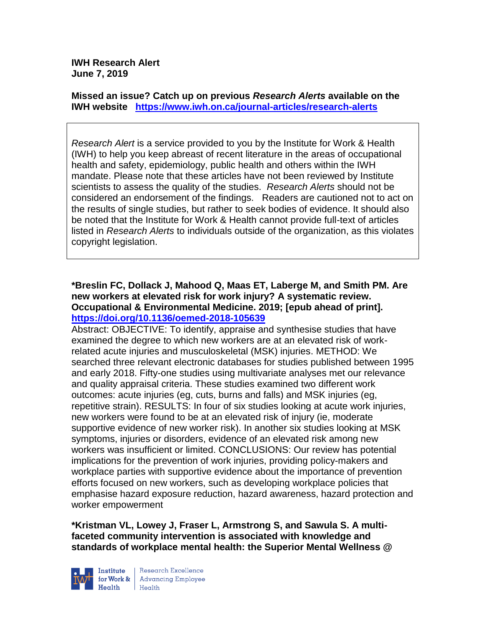**IWH Research Alert June 7, 2019**

**Missed an issue? Catch up on previous** *Research Alerts* **available on the [IWH website](http://www.iwh.on.ca/research-alerts) <https://www.iwh.on.ca/journal-articles/research-alerts>**

*Research Alert* is a service provided to you by the Institute for Work & Health (IWH) to help you keep abreast of recent literature in the areas of occupational health and safety, epidemiology, public health and others within the IWH mandate. Please note that these articles have not been reviewed by Institute scientists to assess the quality of the studies. *Research Alerts* should not be considered an endorsement of the findings. Readers are cautioned not to act on the results of single studies, but rather to seek bodies of evidence. It should also be noted that the Institute for Work & Health cannot provide full-text of articles listed in *Research Alerts* to individuals outside of the organization, as this violates copyright legislation.

#### **\*Breslin FC, Dollack J, Mahood Q, Maas ET, Laberge M, and Smith PM. Are new workers at elevated risk for work injury? A systematic review. Occupational & Environmental Medicine. 2019; [epub ahead of print]. <https://doi.org/10.1136/oemed-2018-105639>**

Abstract: OBJECTIVE: To identify, appraise and synthesise studies that have examined the degree to which new workers are at an elevated risk of workrelated acute injuries and musculoskeletal (MSK) injuries. METHOD: We searched three relevant electronic databases for studies published between 1995 and early 2018. Fifty-one studies using multivariate analyses met our relevance and quality appraisal criteria. These studies examined two different work outcomes: acute injuries (eg, cuts, burns and falls) and MSK injuries (eg, repetitive strain). RESULTS: In four of six studies looking at acute work injuries, new workers were found to be at an elevated risk of injury (ie, moderate supportive evidence of new worker risk). In another six studies looking at MSK symptoms, injuries or disorders, evidence of an elevated risk among new workers was insufficient or limited. CONCLUSIONS: Our review has potential implications for the prevention of work injuries, providing policy-makers and workplace parties with supportive evidence about the importance of prevention efforts focused on new workers, such as developing workplace policies that emphasise hazard exposure reduction, hazard awareness, hazard protection and worker empowerment

**\*Kristman VL, Lowey J, Fraser L, Armstrong S, and Sawula S. A multifaceted community intervention is associated with knowledge and standards of workplace mental health: the Superior Mental Wellness @** 



Research Excellence for Work & Advancing Employee  $H_{\text{eath}}$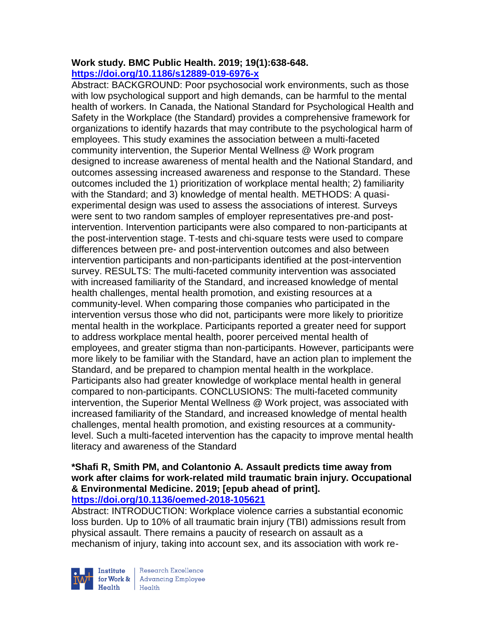## **Work study. BMC Public Health. 2019; 19(1):638-648. <https://doi.org/10.1186/s12889-019-6976-x>**

Abstract: BACKGROUND: Poor psychosocial work environments, such as those with low psychological support and high demands, can be harmful to the mental health of workers. In Canada, the National Standard for Psychological Health and Safety in the Workplace (the Standard) provides a comprehensive framework for organizations to identify hazards that may contribute to the psychological harm of employees. This study examines the association between a multi-faceted community intervention, the Superior Mental Wellness @ Work program designed to increase awareness of mental health and the National Standard, and outcomes assessing increased awareness and response to the Standard. These outcomes included the 1) prioritization of workplace mental health; 2) familiarity with the Standard; and 3) knowledge of mental health. METHODS: A quasiexperimental design was used to assess the associations of interest. Surveys were sent to two random samples of employer representatives pre-and postintervention. Intervention participants were also compared to non-participants at the post-intervention stage. T-tests and chi-square tests were used to compare differences between pre- and post-intervention outcomes and also between intervention participants and non-participants identified at the post-intervention survey. RESULTS: The multi-faceted community intervention was associated with increased familiarity of the Standard, and increased knowledge of mental health challenges, mental health promotion, and existing resources at a community-level. When comparing those companies who participated in the intervention versus those who did not, participants were more likely to prioritize mental health in the workplace. Participants reported a greater need for support to address workplace mental health, poorer perceived mental health of employees, and greater stigma than non-participants. However, participants were more likely to be familiar with the Standard, have an action plan to implement the Standard, and be prepared to champion mental health in the workplace. Participants also had greater knowledge of workplace mental health in general compared to non-participants. CONCLUSIONS: The multi-faceted community intervention, the Superior Mental Wellness @ Work project, was associated with increased familiarity of the Standard, and increased knowledge of mental health challenges, mental health promotion, and existing resources at a communitylevel. Such a multi-faceted intervention has the capacity to improve mental health literacy and awareness of the Standard

# **\*Shafi R, Smith PM, and Colantonio A. Assault predicts time away from work after claims for work-related mild traumatic brain injury. Occupational & Environmental Medicine. 2019; [epub ahead of print].**

**<https://doi.org/10.1136/oemed-2018-105621>**

Abstract: INTRODUCTION: Workplace violence carries a substantial economic loss burden. Up to 10% of all traumatic brain injury (TBI) admissions result from physical assault. There remains a paucity of research on assault as a mechanism of injury, taking into account sex, and its association with work re-



Research Excellence for Work & | Advancing Employee Health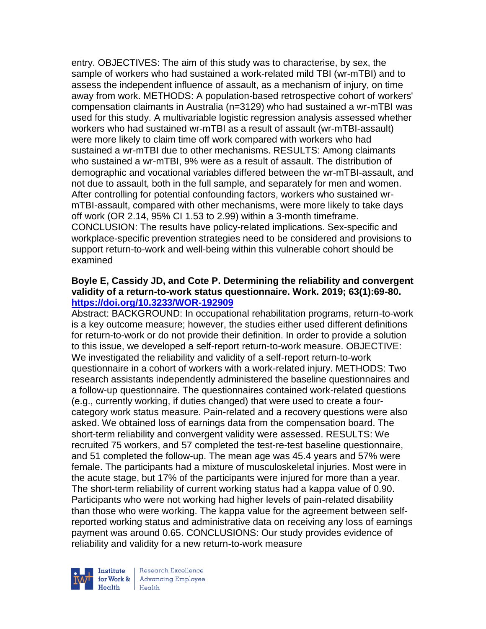entry. OBJECTIVES: The aim of this study was to characterise, by sex, the sample of workers who had sustained a work-related mild TBI (wr-mTBI) and to assess the independent influence of assault, as a mechanism of injury, on time away from work. METHODS: A population-based retrospective cohort of workers' compensation claimants in Australia (n=3129) who had sustained a wr-mTBI was used for this study. A multivariable logistic regression analysis assessed whether workers who had sustained wr-mTBI as a result of assault (wr-mTBI-assault) were more likely to claim time off work compared with workers who had sustained a wr-mTBI due to other mechanisms. RESULTS: Among claimants who sustained a wr-mTBI, 9% were as a result of assault. The distribution of demographic and vocational variables differed between the wr-mTBI-assault, and not due to assault, both in the full sample, and separately for men and women. After controlling for potential confounding factors, workers who sustained wrmTBI-assault, compared with other mechanisms, were more likely to take days off work (OR 2.14, 95% CI 1.53 to 2.99) within a 3-month timeframe. CONCLUSION: The results have policy-related implications. Sex-specific and workplace-specific prevention strategies need to be considered and provisions to support return-to-work and well-being within this vulnerable cohort should be examined

#### **Boyle E, Cassidy JD, and Cote P. Determining the reliability and convergent validity of a return-to-work status questionnaire. Work. 2019; 63(1):69-80. <https://doi.org/10.3233/WOR-192909>**

Abstract: BACKGROUND: In occupational rehabilitation programs, return-to-work is a key outcome measure; however, the studies either used different definitions for return-to-work or do not provide their definition. In order to provide a solution to this issue, we developed a self-report return-to-work measure. OBJECTIVE: We investigated the reliability and validity of a self-report return-to-work questionnaire in a cohort of workers with a work-related injury. METHODS: Two research assistants independently administered the baseline questionnaires and a follow-up questionnaire. The questionnaires contained work-related questions (e.g., currently working, if duties changed) that were used to create a fourcategory work status measure. Pain-related and a recovery questions were also asked. We obtained loss of earnings data from the compensation board. The short-term reliability and convergent validity were assessed. RESULTS: We recruited 75 workers, and 57 completed the test-re-test baseline questionnaire, and 51 completed the follow-up. The mean age was 45.4 years and 57% were female. The participants had a mixture of musculoskeletal injuries. Most were in the acute stage, but 17% of the participants were injured for more than a year. The short-term reliability of current working status had a kappa value of 0.90. Participants who were not working had higher levels of pain-related disability than those who were working. The kappa value for the agreement between selfreported working status and administrative data on receiving any loss of earnings payment was around 0.65. CONCLUSIONS: Our study provides evidence of reliability and validity for a new return-to-work measure



Research Excellence for Work & | Advancing Employee Health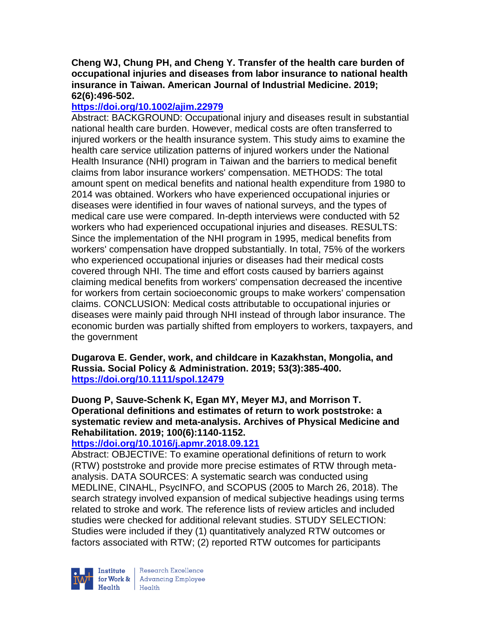## **Cheng WJ, Chung PH, and Cheng Y. Transfer of the health care burden of occupational injuries and diseases from labor insurance to national health insurance in Taiwan. American Journal of Industrial Medicine. 2019; 62(6):496-502.**

# **<https://doi.org/10.1002/ajim.22979>**

Abstract: BACKGROUND: Occupational injury and diseases result in substantial national health care burden. However, medical costs are often transferred to injured workers or the health insurance system. This study aims to examine the health care service utilization patterns of injured workers under the National Health Insurance (NHI) program in Taiwan and the barriers to medical benefit claims from labor insurance workers' compensation. METHODS: The total amount spent on medical benefits and national health expenditure from 1980 to 2014 was obtained. Workers who have experienced occupational injuries or diseases were identified in four waves of national surveys, and the types of medical care use were compared. In-depth interviews were conducted with 52 workers who had experienced occupational injuries and diseases. RESULTS: Since the implementation of the NHI program in 1995, medical benefits from workers' compensation have dropped substantially. In total, 75% of the workers who experienced occupational injuries or diseases had their medical costs covered through NHI. The time and effort costs caused by barriers against claiming medical benefits from workers' compensation decreased the incentive for workers from certain socioeconomic groups to make workers' compensation claims. CONCLUSION: Medical costs attributable to occupational injuries or diseases were mainly paid through NHI instead of through labor insurance. The economic burden was partially shifted from employers to workers, taxpayers, and the government

**Dugarova E. Gender, work, and childcare in Kazakhstan, Mongolia, and Russia. Social Policy & Administration. 2019; 53(3):385-400. <https://doi.org/10.1111/spol.12479>**

**Duong P, Sauve-Schenk K, Egan MY, Meyer MJ, and Morrison T. Operational definitions and estimates of return to work poststroke: a systematic review and meta-analysis. Archives of Physical Medicine and Rehabilitation. 2019; 100(6):1140-1152.** 

## **<https://doi.org/10.1016/j.apmr.2018.09.121>**

Abstract: OBJECTIVE: To examine operational definitions of return to work (RTW) poststroke and provide more precise estimates of RTW through metaanalysis. DATA SOURCES: A systematic search was conducted using MEDLINE, CINAHL, PsycINFO, and SCOPUS (2005 to March 26, 2018). The search strategy involved expansion of medical subjective headings using terms related to stroke and work. The reference lists of review articles and included studies were checked for additional relevant studies. STUDY SELECTION: Studies were included if they (1) quantitatively analyzed RTW outcomes or factors associated with RTW; (2) reported RTW outcomes for participants



Research Excellence Finantium Research Excellence<br>
Finantium Research Employee<br>
Realth Health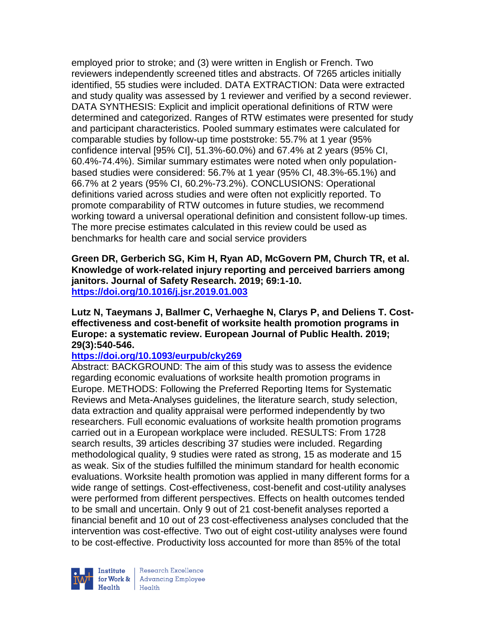employed prior to stroke; and (3) were written in English or French. Two reviewers independently screened titles and abstracts. Of 7265 articles initially identified, 55 studies were included. DATA EXTRACTION: Data were extracted and study quality was assessed by 1 reviewer and verified by a second reviewer. DATA SYNTHESIS: Explicit and implicit operational definitions of RTW were determined and categorized. Ranges of RTW estimates were presented for study and participant characteristics. Pooled summary estimates were calculated for comparable studies by follow-up time poststroke: 55.7% at 1 year (95% confidence interval [95% CI], 51.3%-60.0%) and 67.4% at 2 years (95% CI, 60.4%-74.4%). Similar summary estimates were noted when only populationbased studies were considered: 56.7% at 1 year (95% CI, 48.3%-65.1%) and 66.7% at 2 years (95% CI, 60.2%-73.2%). CONCLUSIONS: Operational definitions varied across studies and were often not explicitly reported. To promote comparability of RTW outcomes in future studies, we recommend working toward a universal operational definition and consistent follow-up times. The more precise estimates calculated in this review could be used as benchmarks for health care and social service providers

**Green DR, Gerberich SG, Kim H, Ryan AD, McGovern PM, Church TR, et al. Knowledge of work-related injury reporting and perceived barriers among janitors. Journal of Safety Research. 2019; 69:1-10. <https://doi.org/10.1016/j.jsr.2019.01.003>**

#### **Lutz N, Taeymans J, Ballmer C, Verhaeghe N, Clarys P, and Deliens T. Costeffectiveness and cost-benefit of worksite health promotion programs in Europe: a systematic review. European Journal of Public Health. 2019; 29(3):540-546.**

#### **<https://doi.org/10.1093/eurpub/cky269>**

Abstract: BACKGROUND: The aim of this study was to assess the evidence regarding economic evaluations of worksite health promotion programs in Europe. METHODS: Following the Preferred Reporting Items for Systematic Reviews and Meta-Analyses guidelines, the literature search, study selection, data extraction and quality appraisal were performed independently by two researchers. Full economic evaluations of worksite health promotion programs carried out in a European workplace were included. RESULTS: From 1728 search results, 39 articles describing 37 studies were included. Regarding methodological quality, 9 studies were rated as strong, 15 as moderate and 15 as weak. Six of the studies fulfilled the minimum standard for health economic evaluations. Worksite health promotion was applied in many different forms for a wide range of settings. Cost-effectiveness, cost-benefit and cost-utility analyses were performed from different perspectives. Effects on health outcomes tended to be small and uncertain. Only 9 out of 21 cost-benefit analyses reported a financial benefit and 10 out of 23 cost-effectiveness analyses concluded that the intervention was cost-effective. Two out of eight cost-utility analyses were found to be cost-effective. Productivity loss accounted for more than 85% of the total



Research Excellence for Work & Advancing Employee  $H_{\text{eath}}$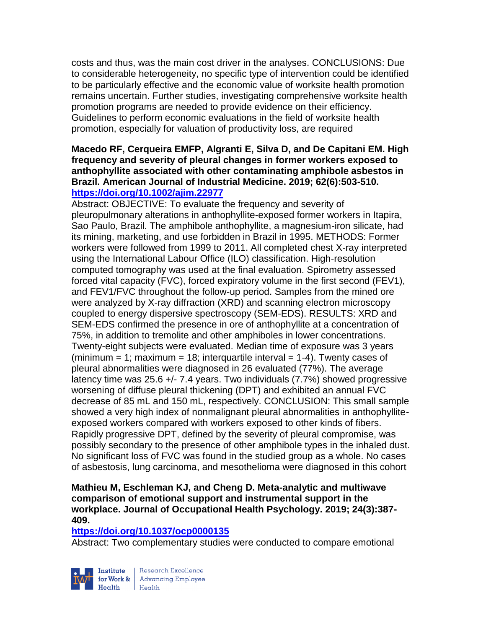costs and thus, was the main cost driver in the analyses. CONCLUSIONS: Due to considerable heterogeneity, no specific type of intervention could be identified to be particularly effective and the economic value of worksite health promotion remains uncertain. Further studies, investigating comprehensive worksite health promotion programs are needed to provide evidence on their efficiency. Guidelines to perform economic evaluations in the field of worksite health promotion, especially for valuation of productivity loss, are required

#### **Macedo RF, Cerqueira EMFP, Algranti E, Silva D, and De Capitani EM. High frequency and severity of pleural changes in former workers exposed to anthophyllite associated with other contaminating amphibole asbestos in Brazil. American Journal of Industrial Medicine. 2019; 62(6):503-510. <https://doi.org/10.1002/ajim.22977>**

Abstract: OBJECTIVE: To evaluate the frequency and severity of pleuropulmonary alterations in anthophyllite-exposed former workers in Itapira, Sao Paulo, Brazil. The amphibole anthophyllite, a magnesium-iron silicate, had its mining, marketing, and use forbidden in Brazil in 1995. METHODS: Former workers were followed from 1999 to 2011. All completed chest X-ray interpreted using the International Labour Office (ILO) classification. High-resolution computed tomography was used at the final evaluation. Spirometry assessed forced vital capacity (FVC), forced expiratory volume in the first second (FEV1), and FEV1/FVC throughout the follow-up period. Samples from the mined ore were analyzed by X-ray diffraction (XRD) and scanning electron microscopy coupled to energy dispersive spectroscopy (SEM-EDS). RESULTS: XRD and SEM-EDS confirmed the presence in ore of anthophyllite at a concentration of 75%, in addition to tremolite and other amphiboles in lower concentrations. Twenty-eight subjects were evaluated. Median time of exposure was 3 years (minimum = 1; maximum = 18; interquartile interval =  $1-4$ ). Twenty cases of pleural abnormalities were diagnosed in 26 evaluated (77%). The average latency time was 25.6 +/- 7.4 years. Two individuals (7.7%) showed progressive worsening of diffuse pleural thickening (DPT) and exhibited an annual FVC decrease of 85 mL and 150 mL, respectively. CONCLUSION: This small sample showed a very high index of nonmalignant pleural abnormalities in anthophylliteexposed workers compared with workers exposed to other kinds of fibers. Rapidly progressive DPT, defined by the severity of pleural compromise, was possibly secondary to the presence of other amphibole types in the inhaled dust. No significant loss of FVC was found in the studied group as a whole. No cases of asbestosis, lung carcinoma, and mesothelioma were diagnosed in this cohort

## **Mathieu M, Eschleman KJ, and Cheng D. Meta-analytic and multiwave comparison of emotional support and instrumental support in the workplace. Journal of Occupational Health Psychology. 2019; 24(3):387- 409.**

#### **<https://doi.org/10.1037/ocp0000135>**

Abstract: Two complementary studies were conducted to compare emotional



Research Excellence for Work & | Advancing Employee Health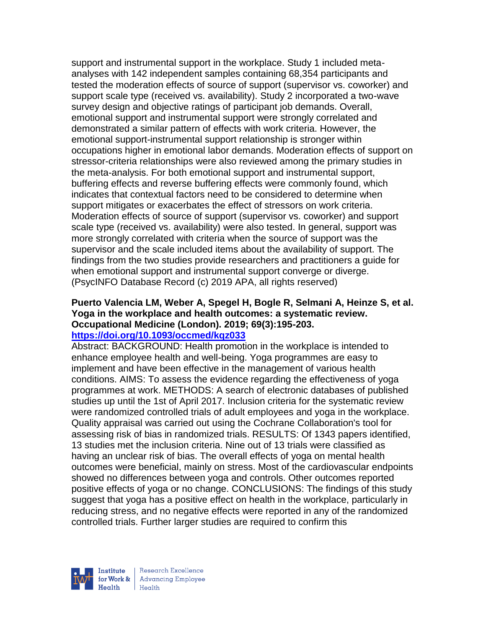support and instrumental support in the workplace. Study 1 included metaanalyses with 142 independent samples containing 68,354 participants and tested the moderation effects of source of support (supervisor vs. coworker) and support scale type (received vs. availability). Study 2 incorporated a two-wave survey design and objective ratings of participant job demands. Overall, emotional support and instrumental support were strongly correlated and demonstrated a similar pattern of effects with work criteria. However, the emotional support-instrumental support relationship is stronger within occupations higher in emotional labor demands. Moderation effects of support on stressor-criteria relationships were also reviewed among the primary studies in the meta-analysis. For both emotional support and instrumental support, buffering effects and reverse buffering effects were commonly found, which indicates that contextual factors need to be considered to determine when support mitigates or exacerbates the effect of stressors on work criteria. Moderation effects of source of support (supervisor vs. coworker) and support scale type (received vs. availability) were also tested. In general, support was more strongly correlated with criteria when the source of support was the supervisor and the scale included items about the availability of support. The findings from the two studies provide researchers and practitioners a guide for when emotional support and instrumental support converge or diverge. (PsycINFO Database Record (c) 2019 APA, all rights reserved)

# **Puerto Valencia LM, Weber A, Spegel H, Bogle R, Selmani A, Heinze S, et al. Yoga in the workplace and health outcomes: a systematic review. Occupational Medicine (London). 2019; 69(3):195-203.**

#### **<https://doi.org/10.1093/occmed/kqz033>**

Abstract: BACKGROUND: Health promotion in the workplace is intended to enhance employee health and well-being. Yoga programmes are easy to implement and have been effective in the management of various health conditions. AIMS: To assess the evidence regarding the effectiveness of yoga programmes at work. METHODS: A search of electronic databases of published studies up until the 1st of April 2017. Inclusion criteria for the systematic review were randomized controlled trials of adult employees and yoga in the workplace. Quality appraisal was carried out using the Cochrane Collaboration's tool for assessing risk of bias in randomized trials. RESULTS: Of 1343 papers identified, 13 studies met the inclusion criteria. Nine out of 13 trials were classified as having an unclear risk of bias. The overall effects of yoga on mental health outcomes were beneficial, mainly on stress. Most of the cardiovascular endpoints showed no differences between yoga and controls. Other outcomes reported positive effects of yoga or no change. CONCLUSIONS: The findings of this study suggest that yoga has a positive effect on health in the workplace, particularly in reducing stress, and no negative effects were reported in any of the randomized controlled trials. Further larger studies are required to confirm this



| Research Excellence for Work & Advancing Employee<br>Health Health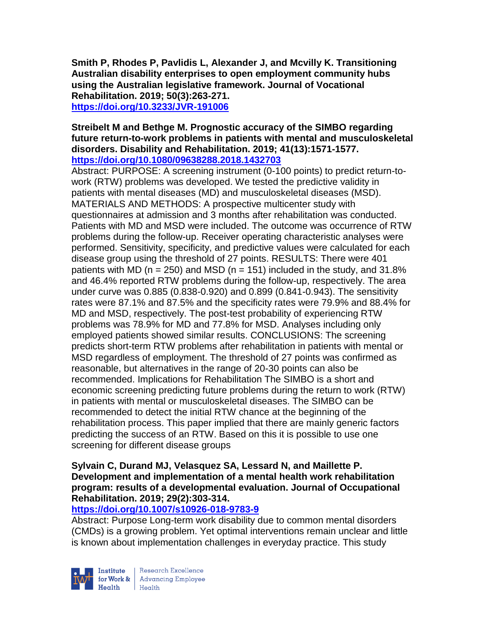**Smith P, Rhodes P, Pavlidis L, Alexander J, and Mcvilly K. Transitioning Australian disability enterprises to open employment community hubs using the Australian legislative framework. Journal of Vocational Rehabilitation. 2019; 50(3):263-271. <https://doi.org/10.3233/JVR-191006>**

#### **Streibelt M and Bethge M. Prognostic accuracy of the SIMBO regarding future return-to-work problems in patients with mental and musculoskeletal disorders. Disability and Rehabilitation. 2019; 41(13):1571-1577. <https://doi.org/10.1080/09638288.2018.1432703>**

Abstract: PURPOSE: A screening instrument (0-100 points) to predict return-towork (RTW) problems was developed. We tested the predictive validity in patients with mental diseases (MD) and musculoskeletal diseases (MSD). MATERIALS AND METHODS: A prospective multicenter study with questionnaires at admission and 3 months after rehabilitation was conducted. Patients with MD and MSD were included. The outcome was occurrence of RTW problems during the follow-up. Receiver operating characteristic analyses were performed. Sensitivity, specificity, and predictive values were calculated for each disease group using the threshold of 27 points. RESULTS: There were 401 patients with MD ( $n = 250$ ) and MSD ( $n = 151$ ) included in the study, and 31.8% and 46.4% reported RTW problems during the follow-up, respectively. The area under curve was 0.885 (0.838-0.920) and 0.899 (0.841-0.943). The sensitivity rates were 87.1% and 87.5% and the specificity rates were 79.9% and 88.4% for MD and MSD, respectively. The post-test probability of experiencing RTW problems was 78.9% for MD and 77.8% for MSD. Analyses including only employed patients showed similar results. CONCLUSIONS: The screening predicts short-term RTW problems after rehabilitation in patients with mental or MSD regardless of employment. The threshold of 27 points was confirmed as reasonable, but alternatives in the range of 20-30 points can also be recommended. Implications for Rehabilitation The SIMBO is a short and economic screening predicting future problems during the return to work (RTW) in patients with mental or musculoskeletal diseases. The SIMBO can be recommended to detect the initial RTW chance at the beginning of the rehabilitation process. This paper implied that there are mainly generic factors predicting the success of an RTW. Based on this it is possible to use one screening for different disease groups

#### **Sylvain C, Durand MJ, Velasquez SA, Lessard N, and Maillette P. Development and implementation of a mental health work rehabilitation program: results of a developmental evaluation. Journal of Occupational Rehabilitation. 2019; 29(2):303-314.**

#### **<https://doi.org/10.1007/s10926-018-9783-9>**

Abstract: Purpose Long-term work disability due to common mental disorders (CMDs) is a growing problem. Yet optimal interventions remain unclear and little is known about implementation challenges in everyday practice. This study



Research Excellence for Work & Advancing Employee<br>Health Health